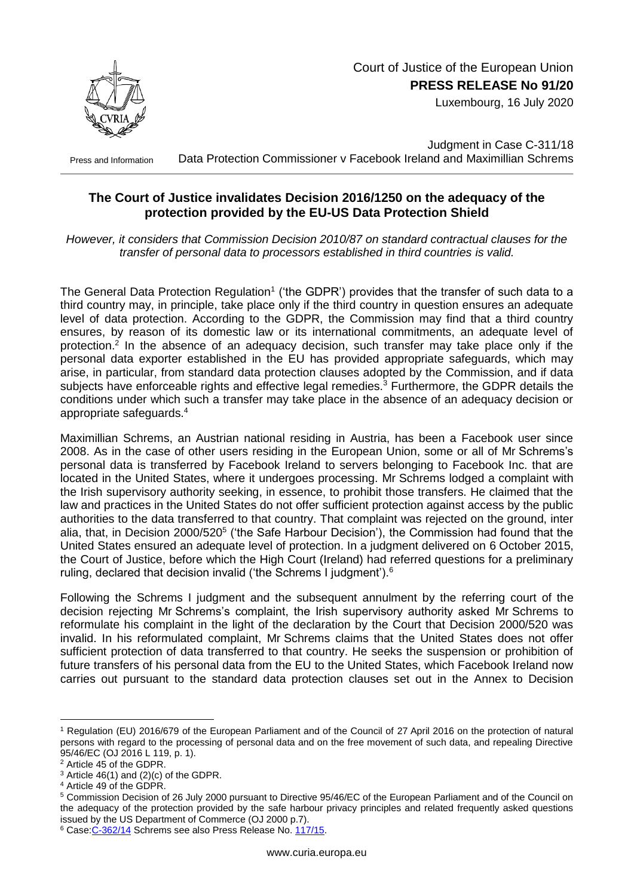

Luxembourg, 16 July 2020

Press and Information

Judgment in Case C-311/18 Data Protection Commissioner v Facebook Ireland and Maximillian Schrems

## **The Court of Justice invalidates Decision 2016/1250 on the adequacy of the protection provided by the EU-US Data Protection Shield**

*However, it considers that Commission Decision 2010/87 on standard contractual clauses for the transfer of personal data to processors established in third countries is valid.*

The General Data Protection Regulation<sup>1</sup> ('the GDPR') provides that the transfer of such data to a third country may, in principle, take place only if the third country in question ensures an adequate level of data protection. According to the GDPR, the Commission may find that a third country ensures, by reason of its domestic law or its international commitments, an adequate level of protection.<sup>2</sup> In the absence of an adequacy decision, such transfer may take place only if the personal data exporter established in the EU has provided appropriate safeguards, which may arise, in particular, from standard data protection clauses adopted by the Commission, and if data subjects have enforceable rights and effective legal remedies.<sup>3</sup> Furthermore, the GDPR details the conditions under which such a transfer may take place in the absence of an adequacy decision or appropriate safeguards.<sup>4</sup>

Maximillian Schrems, an Austrian national residing in Austria, has been a Facebook user since 2008. As in the case of other users residing in the European Union, some or all of Mr Schrems's personal data is transferred by Facebook Ireland to servers belonging to Facebook Inc. that are located in the United States, where it undergoes processing. Mr Schrems lodged a complaint with the Irish supervisory authority seeking, in essence, to prohibit those transfers. He claimed that the law and practices in the United States do not offer sufficient protection against access by the public authorities to the data transferred to that country. That complaint was rejected on the ground, inter alia, that, in Decision 2000/520<sup>5</sup> ('the Safe Harbour Decision'), the Commission had found that the United States ensured an adequate level of protection. In a judgment delivered on 6 October 2015, the Court of Justice, before which the High Court (Ireland) had referred questions for a preliminary ruling, declared that decision invalid ('the Schrems I judgment').<sup>6</sup>

Following the Schrems I judgment and the subsequent annulment by the referring court of the decision rejecting Mr Schrems's complaint, the Irish supervisory authority asked Mr Schrems to reformulate his complaint in the light of the declaration by the Court that Decision 2000/520 was invalid. In his reformulated complaint, Mr Schrems claims that the United States does not offer sufficient protection of data transferred to that country. He seeks the suspension or prohibition of future transfers of his personal data from the EU to the United States, which Facebook Ireland now carries out pursuant to the standard data protection clauses set out in the Annex to Decision

1

<sup>1</sup> Regulation (EU) 2016/679 of the European Parliament and of the Council of 27 April 2016 on the protection of natural persons with regard to the processing of personal data and on the free movement of such data, and repealing Directive 95/46/EC (OJ 2016 L 119, p. 1).

<sup>2</sup> Article 45 of the GDPR.

 $3$  Article 46(1) and (2)(c) of the GDPR.

<sup>4</sup> Article 49 of the GDPR.

<sup>5</sup> Commission Decision of 26 July 2000 pursuant to Directive 95/46/EC of the European Parliament and of the Council on the adequacy of the protection provided by the safe harbour privacy principles and related frequently asked questions issued by the US Department of Commerce (OJ 2000 p.7).

<sup>&</sup>lt;sup>6</sup> Case: C-362/14 Schrems see also Press Release No. [117/15.](https://curia.europa.eu/jcms/upload/docs/application/pdf/2015-10/cp150117en.pdf)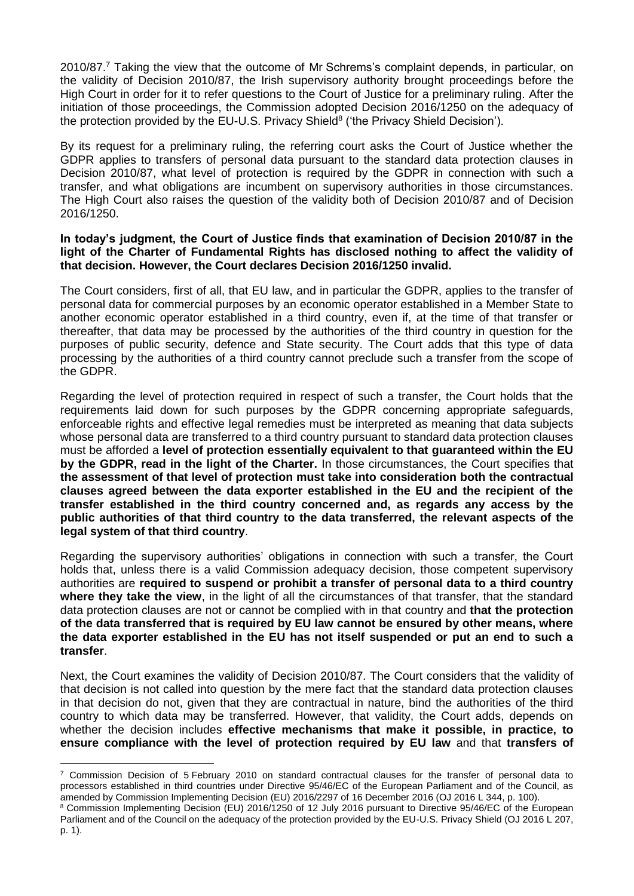2010/87.<sup>7</sup> Taking the view that the outcome of Mr Schrems's complaint depends, in particular, on the validity of Decision 2010/87, the Irish supervisory authority brought proceedings before the High Court in order for it to refer questions to the Court of Justice for a preliminary ruling. After the initiation of those proceedings, the Commission adopted Decision 2016/1250 on the adequacy of the protection provided by the EU-U.S. Privacy Shield<sup>8</sup> ('the Privacy Shield Decision').

By its request for a preliminary ruling, the referring court asks the Court of Justice whether the GDPR applies to transfers of personal data pursuant to the standard data protection clauses in Decision 2010/87, what level of protection is required by the GDPR in connection with such a transfer, and what obligations are incumbent on supervisory authorities in those circumstances. The High Court also raises the question of the validity both of Decision 2010/87 and of Decision 2016/1250.

## **In today's judgment, the Court of Justice finds that examination of Decision 2010/87 in the light of the Charter of Fundamental Rights has disclosed nothing to affect the validity of that decision. However, the Court declares Decision 2016/1250 invalid.**

The Court considers, first of all, that EU law, and in particular the GDPR, applies to the transfer of personal data for commercial purposes by an economic operator established in a Member State to another economic operator established in a third country, even if, at the time of that transfer or thereafter, that data may be processed by the authorities of the third country in question for the purposes of public security, defence and State security. The Court adds that this type of data processing by the authorities of a third country cannot preclude such a transfer from the scope of the GDPR.

Regarding the level of protection required in respect of such a transfer, the Court holds that the requirements laid down for such purposes by the GDPR concerning appropriate safeguards, enforceable rights and effective legal remedies must be interpreted as meaning that data subjects whose personal data are transferred to a third country pursuant to standard data protection clauses must be afforded a **level of protection essentially equivalent to that guaranteed within the EU by the GDPR, read in the light of the Charter.** In those circumstances, the Court specifies that **the assessment of that level of protection must take into consideration both the contractual clauses agreed between the data exporter established in the EU and the recipient of the transfer established in the third country concerned and, as regards any access by the public authorities of that third country to the data transferred, the relevant aspects of the legal system of that third country**.

Regarding the supervisory authorities' obligations in connection with such a transfer, the Court holds that, unless there is a valid Commission adequacy decision, those competent supervisory authorities are **required to suspend or prohibit a transfer of personal data to a third country where they take the view**, in the light of all the circumstances of that transfer, that the standard data protection clauses are not or cannot be complied with in that country and **that the protection of the data transferred that is required by EU law cannot be ensured by other means, where the data exporter established in the EU has not itself suspended or put an end to such a transfer**.

Next, the Court examines the validity of Decision 2010/87. The Court considers that the validity of that decision is not called into question by the mere fact that the standard data protection clauses in that decision do not, given that they are contractual in nature, bind the authorities of the third country to which data may be transferred. However, that validity, the Court adds, depends on whether the decision includes **effective mechanisms that make it possible, in practice, to ensure compliance with the level of protection required by EU law** and that **transfers of** 

1

 $7$  Commission Decision of 5 February 2010 on standard contractual clauses for the transfer of personal data to processors established in third countries under Directive 95/46/EC of the European Parliament and of the Council, as amended by Commission Implementing Decision (EU) 2016/2297 of 16 December 2016 (OJ 2016 L 344, p. 100).

<sup>8</sup> Commission Implementing Decision (EU) 2016/1250 of 12 July 2016 pursuant to Directive 95/46/EC of the European Parliament and of the Council on the adequacy of the protection provided by the EU-U.S. Privacy Shield (OJ 2016 L 207, p. 1).